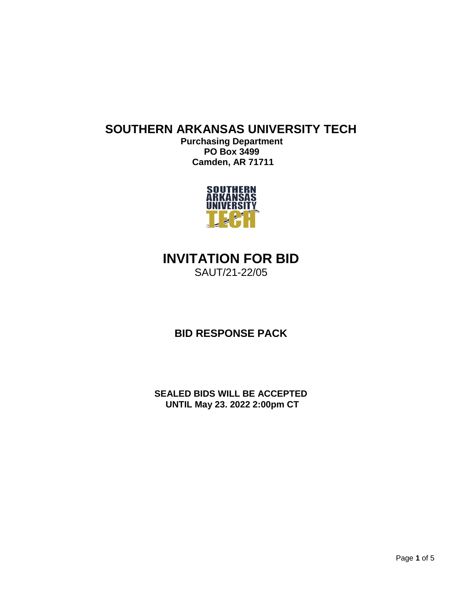## **SOUTHERN ARKANSAS UNIVERSITY TECH**

**Purchasing Department PO Box 3499 Camden, AR 71711**



# **INVITATION FOR BID**

SAUT/21-22/05

**BID RESPONSE PACK**

**SEALED BIDS WILL BE ACCEPTED UNTIL May 23. 2022 2:00pm CT**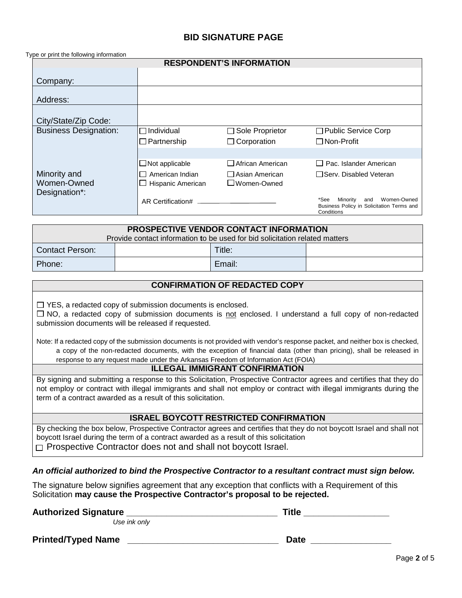### **BID SIGNATURE PAGE**

Type or print the following information

| <b>RESPONDENT'S INFORMATION</b> |                       |                         |                                                                                                   |  |  |
|---------------------------------|-----------------------|-------------------------|---------------------------------------------------------------------------------------------------|--|--|
| Company:                        |                       |                         |                                                                                                   |  |  |
| Address:                        |                       |                         |                                                                                                   |  |  |
| City/State/Zip Code:            |                       |                         |                                                                                                   |  |  |
| <b>Business Designation:</b>    | □Individual           | □ Sole Proprietor       | $\Box$ Public Service Corp                                                                        |  |  |
|                                 | $\Box$ Partnership    | $\Box$ Corporation      | $\Box$ Non-Profit                                                                                 |  |  |
|                                 |                       |                         |                                                                                                   |  |  |
|                                 | $\Box$ Not applicable | $\Box$ African American | $\Box$ Pac. Islander American                                                                     |  |  |
| Minority and                    | American Indian       | □ Asian American        | □Serv. Disabled Veteran                                                                           |  |  |
| Women-Owned                     | Hispanic American     | ⊿Women-Owned            |                                                                                                   |  |  |
| Designation*:                   |                       |                         |                                                                                                   |  |  |
|                                 | AR Certification#     |                         | *See<br>Women-Owned<br>Minority<br>and<br>Business Policy in Solicitation Terms and<br>Conditions |  |  |

| <b>PROSPECTIVE VENDOR CONTACT INFORMATION</b>                               |  |        |  |  |  |  |
|-----------------------------------------------------------------------------|--|--------|--|--|--|--|
| Provide contact information to be used for bid solicitation related matters |  |        |  |  |  |  |
| <b>Contact Person:</b>                                                      |  | Title: |  |  |  |  |
| Phone:                                                                      |  | Email: |  |  |  |  |

#### **CONFIRMATION OF REDACTED COPY**

 $\Box$  YES, a redacted copy of submission documents is enclosed.

 $\Box$  NO, a redacted copy of submission documents is not enclosed. I understand a full copy of non-redacted submission documents will be released if requested.

Note: If a redacted copy of the submission documents is not provided with vendor's response packet, and neither box is checked, a copy of the non-redacted documents, with the exception of financial data (other than pricing), shall be released in response to any request made under the Arkansas Freedom of Information Act (FOIA)

#### **ILLEGAL IMMIGRANT CONFIRMATION**

By signing and submitting a response to this Solicitation, Prospective Contractor agrees and certifies that they do not employ or contract with illegal immigrants and shall not employ or contract with illegal immigrants during the term of a contract awarded as a result of this solicitation.

#### **ISRAEL BOYCOTT RESTRICTED CONFIRMATION**

By checking the box below, Prospective Contractor agrees and certifies that they do not boycott Israel and shall not boycott Israel during the term of a contract awarded as a result of this solicitation  $\Box$  Prospective Contractor does not and shall not boycott Israel.

#### *An official authorized to bind the Prospective Contractor to a resultant contract must sign below.*

The signature below signifies agreement that any exception that conflicts with a Requirement of this Solicitation **may cause the Prospective Contractor's proposal to be rejected.**

#### **Authorized Signature \_\_\_\_\_\_\_\_\_\_\_\_\_\_\_\_\_\_\_\_\_\_\_\_\_\_\_\_\_\_ Title \_\_\_\_\_\_\_\_\_\_\_\_\_\_\_\_\_**

*Use ink only*

**Printed/Typed Name \_\_\_\_\_\_\_\_\_\_\_\_\_\_\_\_\_\_\_\_\_\_\_\_\_\_\_\_\_\_ Date \_\_\_\_\_\_\_\_\_\_\_\_\_\_\_\_**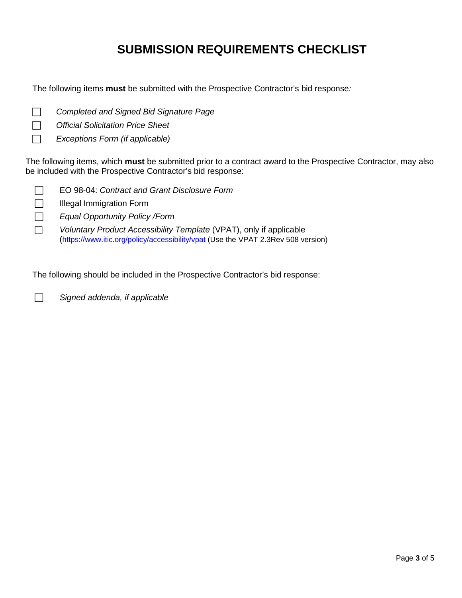# **SUBMISSION REQUIREMENTS CHECKLIST**

The following items **must** be submitted with the Prospective Contractor's bid response*:* 

- *Completed and Signed Bid Signature Page*
- *Official Solicitation Price Sheet*
- *Exceptions Form (if applicable)*

The following items, which **must** be submitted prior to a contract award to the Prospective Contractor, may also be included with the Prospective Contractor's bid response:

- EO 98-04: *Contract and Grant Disclosure Form*
- $\Box$  Illegal Immigration Form
- *Equal Opportunity Policy /Form*
- *Voluntary Product Accessibility Template* (VPAT), only if applicable (https://www.itic.org/policy/accessibility/vpat (Use the VPAT 2.3Rev 508 version)

The following should be included in the Prospective Contractor's bid response:

*Signed addenda, if applicable*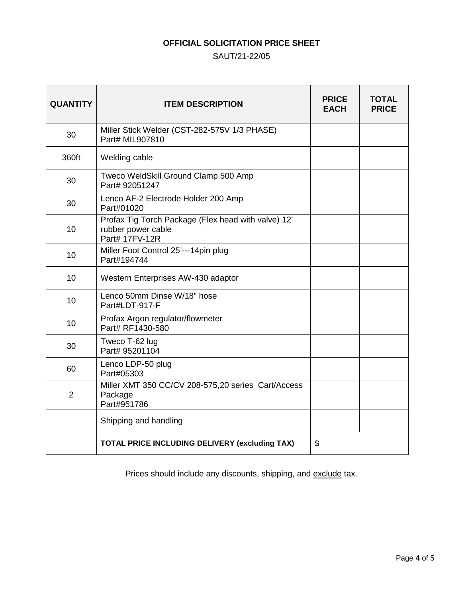## **OFFICIAL SOLICITATION PRICE SHEET**

### SAUT/21-22/05

| <b>QUANTITY</b> | <b>ITEM DESCRIPTION</b>                                                                     | <b>PRICE</b><br><b>EACH</b> | TOTAL<br><b>PRICE</b> |
|-----------------|---------------------------------------------------------------------------------------------|-----------------------------|-----------------------|
| 30              | Miller Stick Welder (CST-282-575V 1/3 PHASE)<br>Part# MIL907810                             |                             |                       |
| 360ft           | Welding cable                                                                               |                             |                       |
| 30              | Tweco WeldSkill Ground Clamp 500 Amp<br>Part# 92051247                                      |                             |                       |
| 30              | Lenco AF-2 Electrode Holder 200 Amp<br>Part#01020                                           |                             |                       |
| 10              | Profax Tig Torch Package (Flex head with valve) 12'<br>rubber power cable<br>Part# 17FV-12R |                             |                       |
| 10              | Miller Foot Control 25'---14pin plug<br>Part#194744                                         |                             |                       |
| 10              | Western Enterprises AW-430 adaptor                                                          |                             |                       |
| 10              | Lenco 50mm Dinse W/18" hose<br>Part#LDT-917-F                                               |                             |                       |
| 10              | Profax Argon regulator/flowmeter<br>Part# RF1430-580                                        |                             |                       |
| 30              | Tweco T-62 lug<br>Part# 95201104                                                            |                             |                       |
| 60              | Lenco LDP-50 plug<br>Part#05303                                                             |                             |                       |
| $\overline{2}$  | Miller XMT 350 CC/CV 208-575,20 series Cart/Access<br>Package<br>Part#951786                |                             |                       |
|                 | Shipping and handling                                                                       |                             |                       |
|                 | <b>TOTAL PRICE INCLUDING DELIVERY (excluding TAX)</b>                                       |                             |                       |

Prices should include any discounts, shipping, and exclude tax.